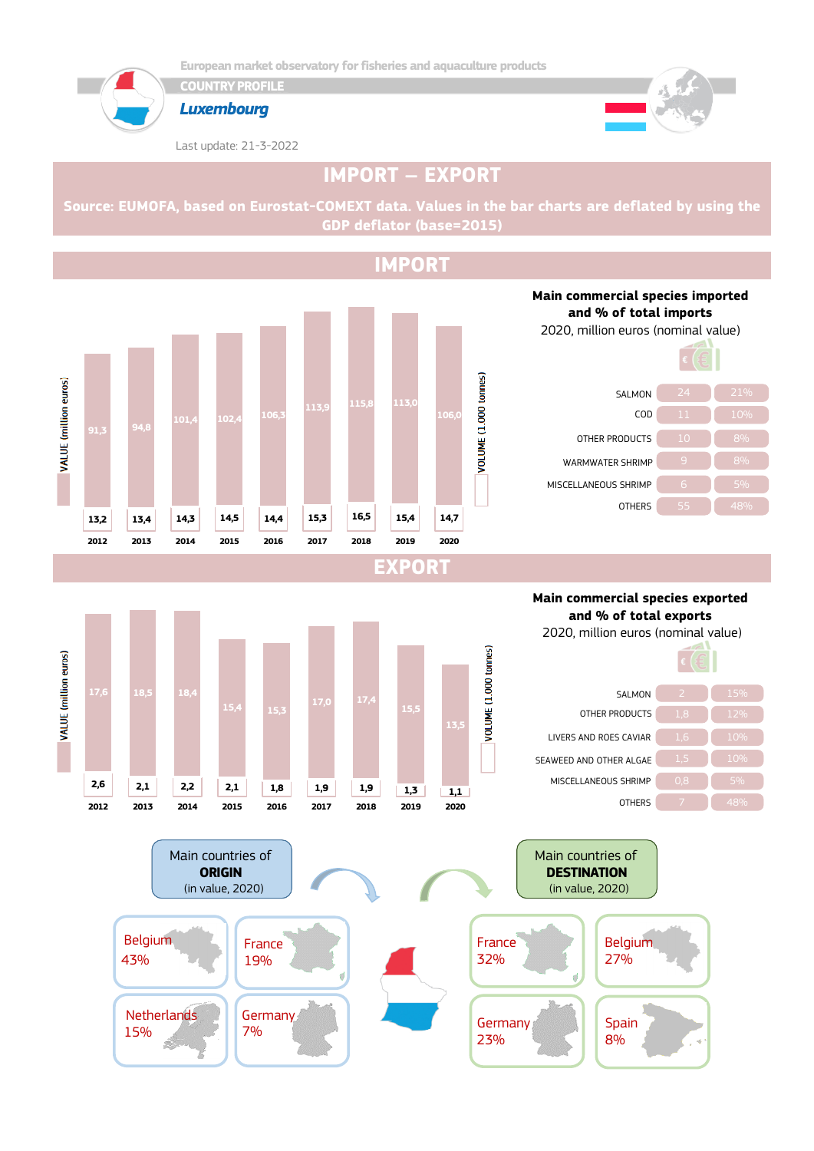

**COUNTRY PROFILE**



*Luxembourg*

Last update: 21-3-2022



# **IMPORT – EXPORT**

**Source: EUMOFA, based on Eurostat-COMEXT data. Values in the bar charts are deflated by using the GDP deflator (base=2015)**

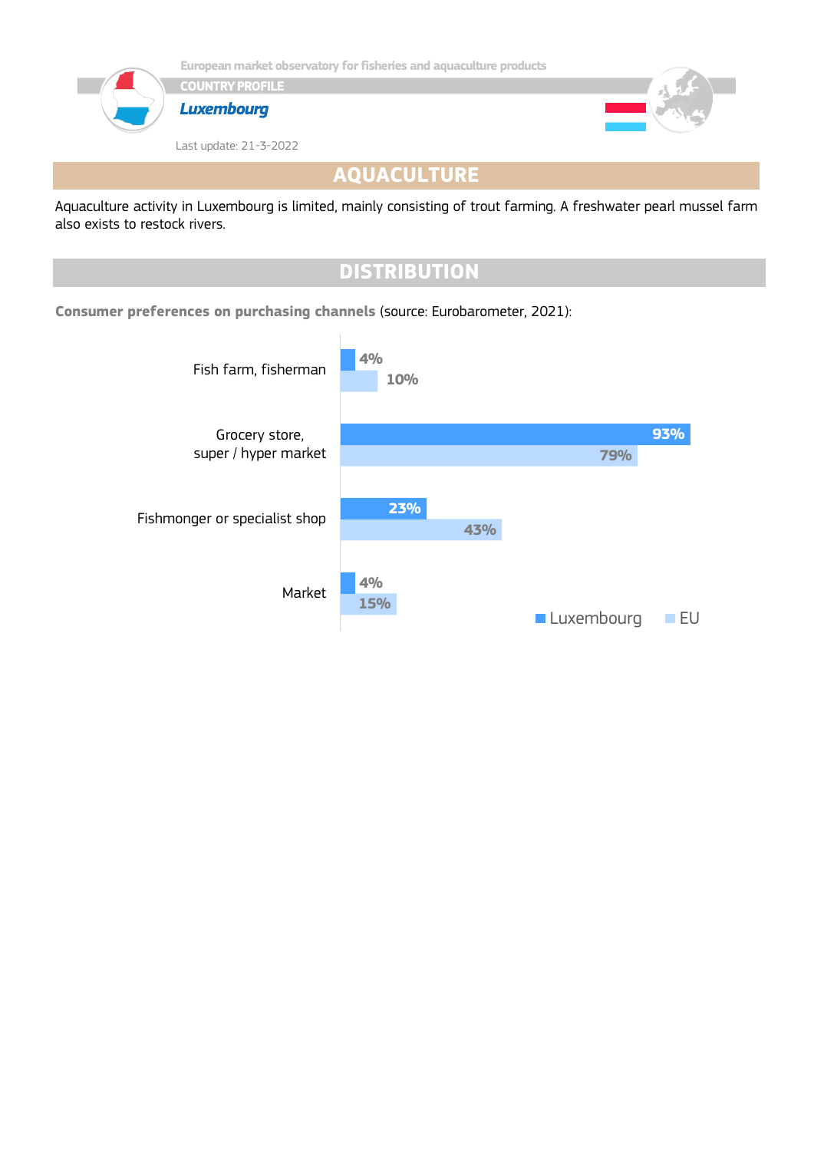

**AQUACULTURE**

Aquaculture activity in Luxembourg is limited, mainly consisting of trout farming. A freshwater pearl mussel farm also exists to restock rivers.

## **DISTRIBUTION Consumer preferences on purchasing channels** (source: Eurobarometer, 2021): **15% 43% 79% 10% 4% 23% 93% 4%** Market Fishmonger or specialist shop Grocery store, super / hyper market Fish farm, fisherman **Luxembourg** EU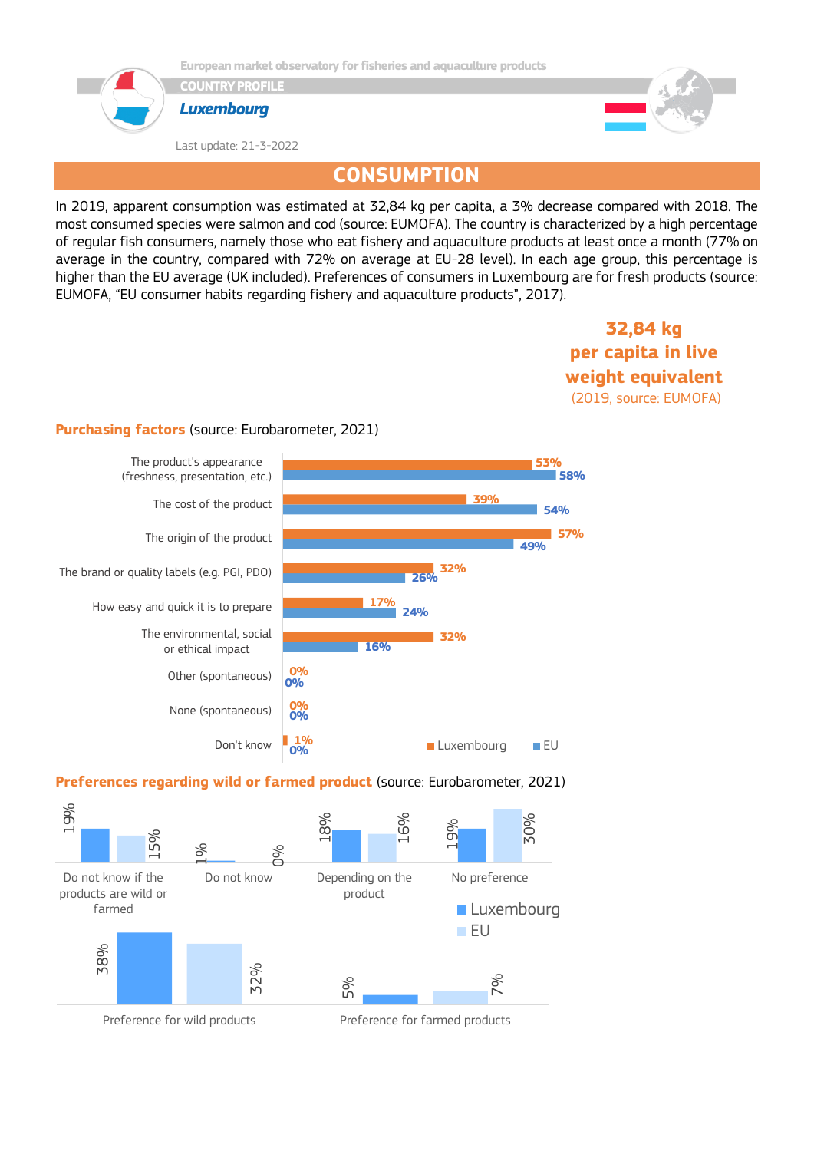

**European market observatory for fisheries and aquaculture products**

**COUNTRY PROFILE**



Last update: 21-3-2022



## **CONSUMPTION**

In 2019, apparent consumption was estimated at 32,84 kg per capita, a 3% decrease compared with 2018. The most consumed species were salmon and cod (source: EUMOFA). The country is characterized by a high percentage of regular fish consumers, namely those who eat fishery and aquaculture products at least once a month (77% on average in the country, compared with 72% on average at EU-28 level). In each age group, this percentage is higher than the EU average (UK included). Preferences of consumers in Luxembourg are for fresh products (source: EUMOFA, "EU consumer habits regarding fishery and aquaculture products", 2017).

### **32,84 kg per capita in live weight equivalent** (2019, source: EUMOFA)

#### **Purchasing factors** (source: Eurobarometer, 2021)



### **Preferences regarding wild or farmed product** (source: Eurobarometer, 2021)